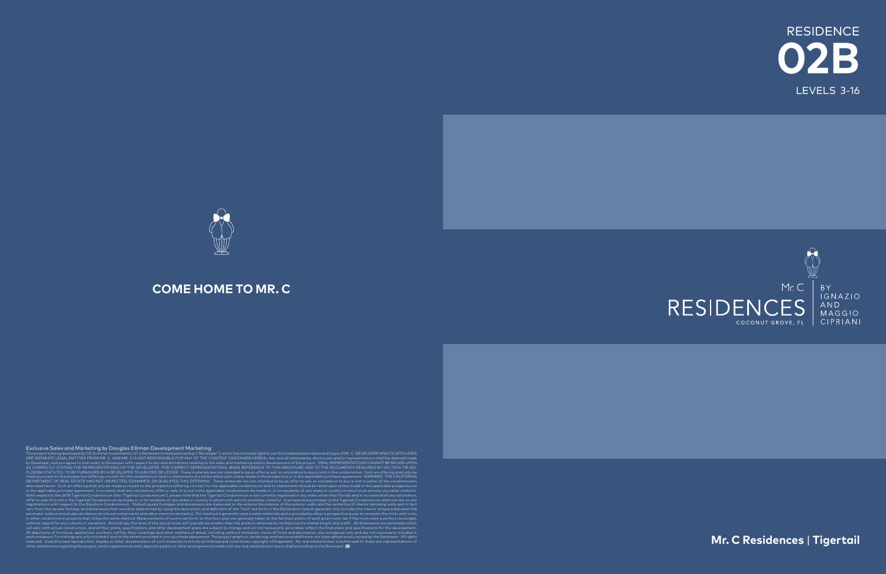



**Mr. C Residences** | **Tigertail**



## **COME HOME TO MR. C**

Exclusive Sales and Marketing by Douglas Elliman Development Marketing<br>This project is being developed by CG Summer Investments, LP, a Delaware limited partnership ("Developer"), which has a limited right to use the tradem without regard for any cutouts or variations. Accordingly, the area of the actual room will typically be smaller than the product obtained by multiplying the stated length and width. All dimensions are estimates which<br>All reserved. Unauthorized reproduction, display or other dissemination of such materials is strictly prohibited and constitutes copyright infringement. No real estate broker is authorized to make any representations or<br>other